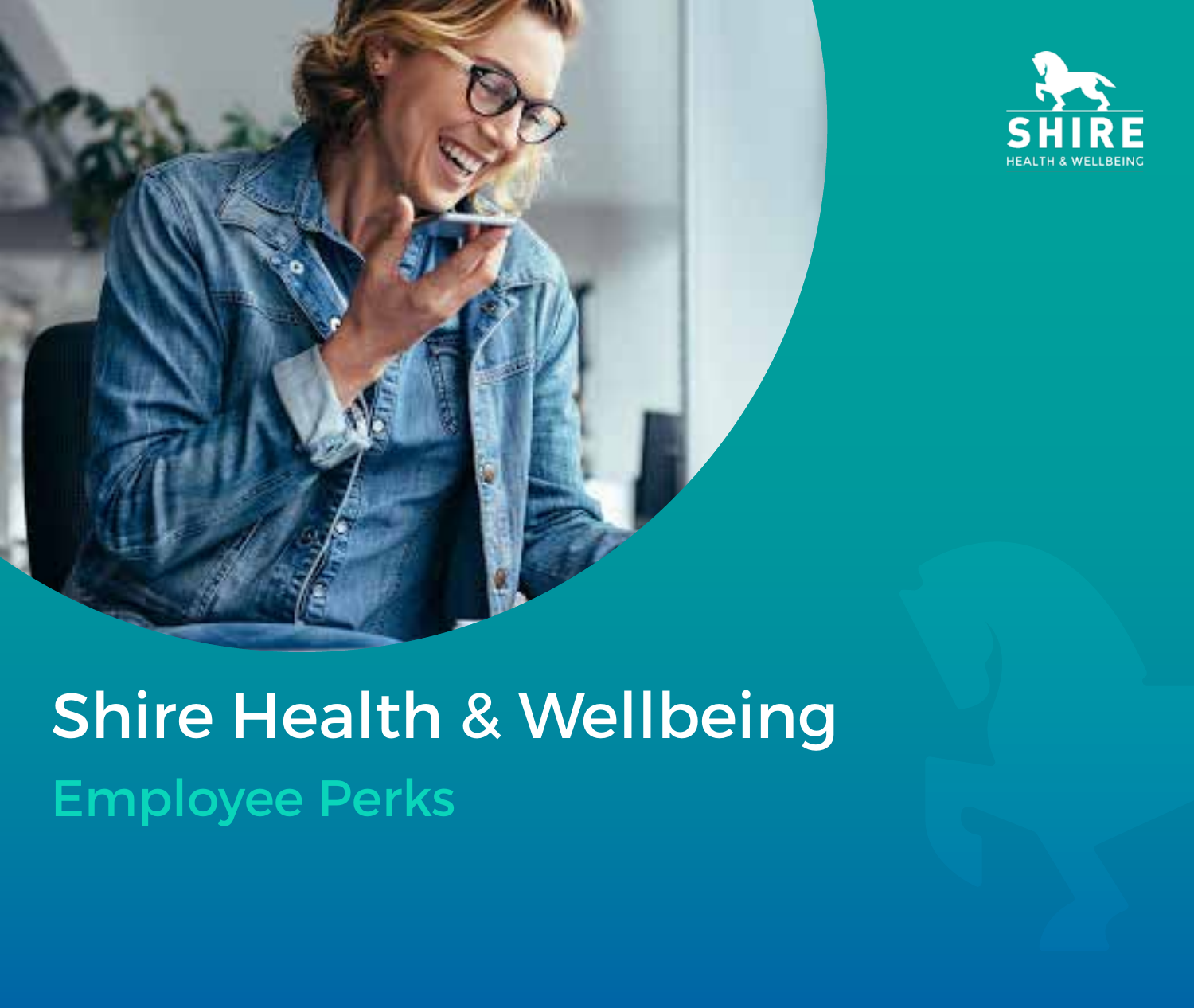



# Shire Health & Wellbeing Employee Perks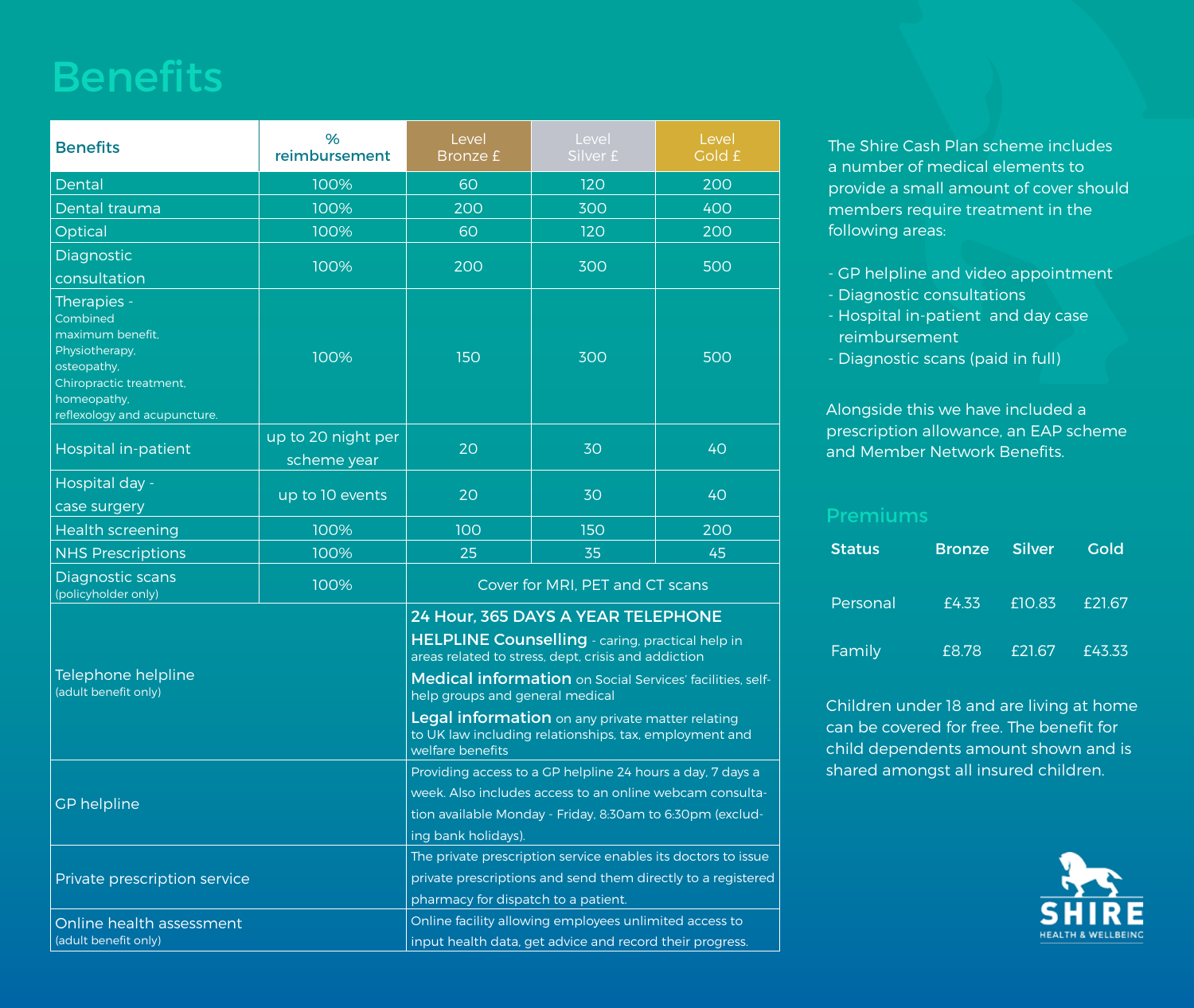### **Benefits**

| <b>Benefits</b>                                                                                                                                        | %<br>reimbursement                | Level<br>Bronze £                                                                                                                                                                                                                                                                                                                                                               | Level<br>Silver £ | Level<br>Gold £ |
|--------------------------------------------------------------------------------------------------------------------------------------------------------|-----------------------------------|---------------------------------------------------------------------------------------------------------------------------------------------------------------------------------------------------------------------------------------------------------------------------------------------------------------------------------------------------------------------------------|-------------------|-----------------|
| Dental                                                                                                                                                 | 100%                              | 60                                                                                                                                                                                                                                                                                                                                                                              | 120               | 200             |
| Dental trauma                                                                                                                                          | 100%                              | 200                                                                                                                                                                                                                                                                                                                                                                             | 300               | 400             |
| Optical                                                                                                                                                | 100%                              | 60                                                                                                                                                                                                                                                                                                                                                                              | 120               | 200             |
| Diagnostic<br>consultation                                                                                                                             | 100%                              | 200                                                                                                                                                                                                                                                                                                                                                                             | 300               | 500             |
| Therapies -<br>Combined<br>maximum benefit,<br>Physiotherapy,<br>osteopathy,<br>Chiropractic treatment,<br>homeopathy,<br>reflexology and acupuncture. | 100%                              | 150                                                                                                                                                                                                                                                                                                                                                                             | 300               | 500             |
| Hospital in-patient                                                                                                                                    | up to 20 night per<br>scheme year | 20                                                                                                                                                                                                                                                                                                                                                                              | 30                | 40              |
| Hospital day -<br>case surgery                                                                                                                         | up to 10 events                   | 20                                                                                                                                                                                                                                                                                                                                                                              | 30                | 40              |
| <b>Health screening</b>                                                                                                                                | 100%                              | 100                                                                                                                                                                                                                                                                                                                                                                             | 150               | 200             |
| <b>NHS Prescriptions</b>                                                                                                                               | 100%                              | 25                                                                                                                                                                                                                                                                                                                                                                              | 35                | 45              |
| Diagnostic scans<br>(policyholder only)                                                                                                                | 100%                              | Cover for MRI, PET and CT scans                                                                                                                                                                                                                                                                                                                                                 |                   |                 |
| Telephone helpline<br>(adult benefit only)                                                                                                             |                                   | 24 Hour, 365 DAYS A YEAR TELEPHONE<br>HELPLINE Counselling - caring, practical help in<br>areas related to stress, dept, crisis and addiction<br>Medical information on Social Services' facilities, self-<br>help groups and general medical<br>Legal information on any private matter relating<br>to UK law including relationships, tax, employment and<br>welfare benefits |                   |                 |
| <b>GP</b> helpline                                                                                                                                     |                                   | Providing access to a GP helpline 24 hours a day, 7 days a<br>week. Also includes access to an online webcam consulta-<br>tion available Monday - Friday, 8:30am to 6:30pm (exclud-<br>ing bank holidays).                                                                                                                                                                      |                   |                 |
| Private prescription service                                                                                                                           |                                   | The private prescription service enables its doctors to issue<br>private prescriptions and send them directly to a registered<br>pharmacy for dispatch to a patient.                                                                                                                                                                                                            |                   |                 |
| Online health assessment<br>(adult benefit only)                                                                                                       |                                   | Online facility allowing employees unlimited access to<br>input health data, get advice and record their progress.                                                                                                                                                                                                                                                              |                   |                 |

The Shire Cash Plan scheme includes a number of medical elements to provide a small amount of cover should members require treatment in the following areas:

- GP helpline and video appointment
- Diagnostic consultations
- Hospital in-patient and day case reimbursement
- Diagnostic scans (paid in full)

Alongside this we have included a prescription allowance, an EAP scheme and Member Network Benefits.

| <b>Status</b> | <b>Bronze</b> | <b>Silver</b> | Gold   |
|---------------|---------------|---------------|--------|
| Personal      | £4.33         | £10.83        | £21.67 |
| Family        | £8.78         | £21.67        | £43.33 |

Children under 18 and are living at home can be covered for free. The benefit for child dependents amount shown and is shared amongst all insured children.

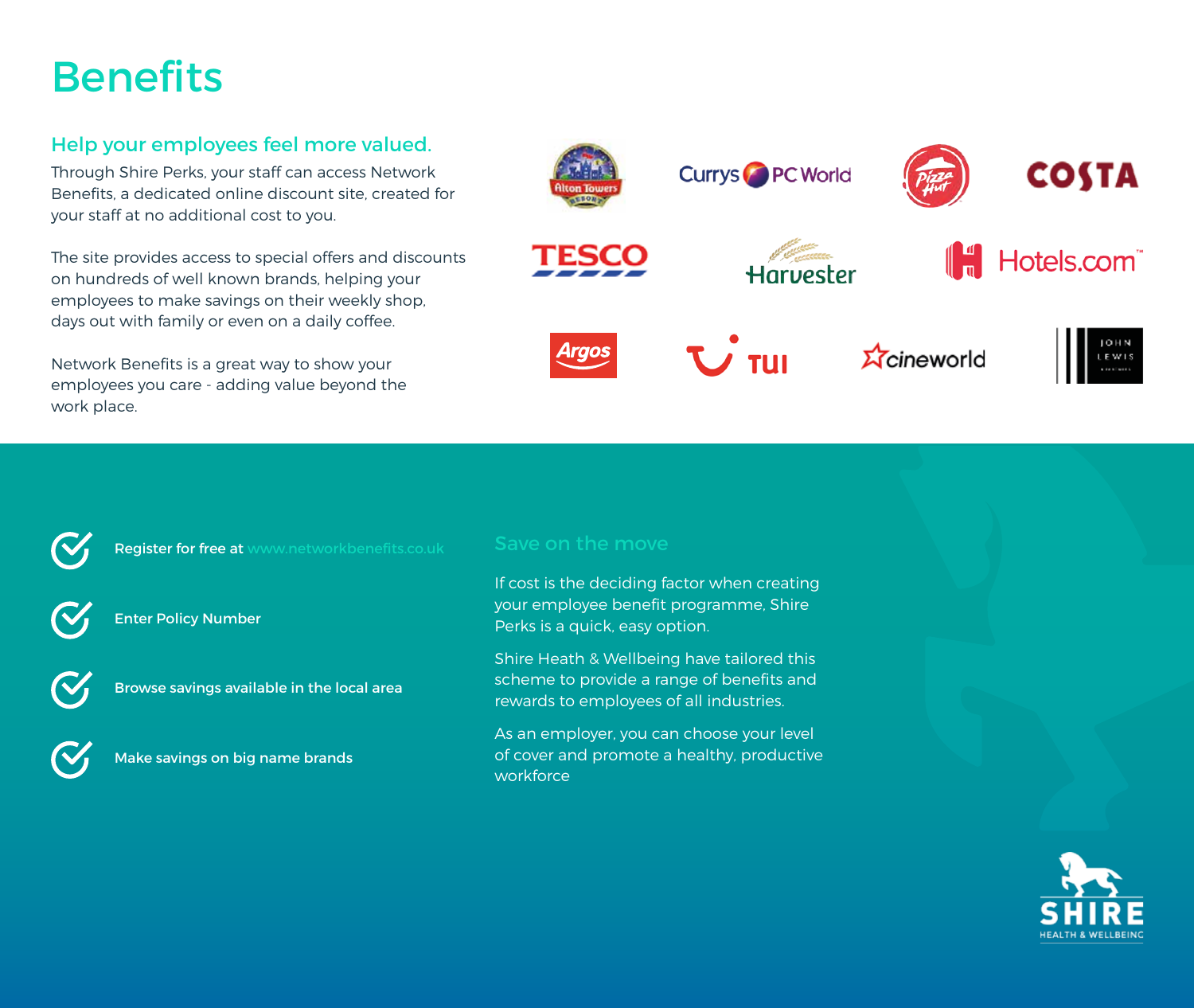### **Benefits**

#### Help your employees feel more valued.

Through Shire Perks, your staff can access Network Benefits, a dedicated online discount site, created for your staff at no additional cost to you.

The site provides access to special offers and discounts on hundreds of well known brands, helping your employees to make savings on their weekly shop, days out with family or even on a daily coffee.

Network Benefits is a great way to show your employees you care - adding value beyond the work place.



## Register for free at www.networkbenefits.co.uk Enter Policy Number



Browse savings available in the local area



Make savings on big name brands

#### Save on the move

If cost is the deciding factor when creating your employee benefit programme, Shire Perks is a quick, easy option.

Shire Heath & Wellbeing have tailored this scheme to provide a range of benefits and rewards to employees of all industries.

As an employer, you can choose your level of cover and promote a healthy, productive workforce